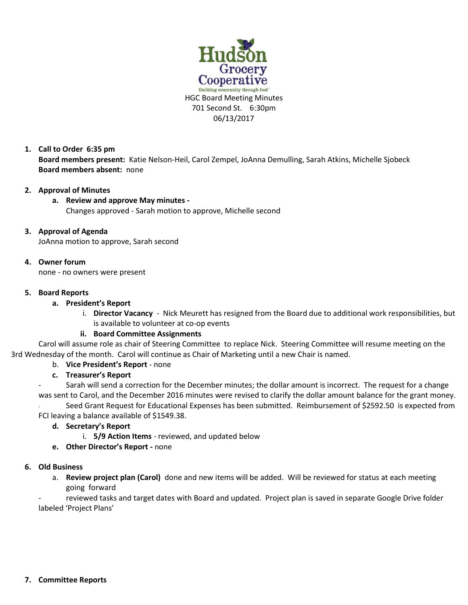

**1. Call to Order 6:35 pm Board members present:** Katie Nelson-Heil, Carol Zempel, JoAnna Demulling, Sarah Atkins, Michelle Sjobeck **Board members absent:** none

## **2. Approval of Minutes**

#### **a. Review and approve May minutes -**

Changes approved - Sarah motion to approve, Michelle second

#### **3. Approval of Agenda**

JoAnna motion to approve, Sarah second

#### **4. Owner forum**

none - no owners were present

#### **5. Board Reports**

#### **a. President's Report**

i. **Director Vacancy** - Nick Meurett has resigned from the Board due to additional work responsibilities, but is available to volunteer at co-op events

## **ii. Board Committee Assignments**

Carol will assume role as chair of Steering Committee to replace Nick. Steering Committee will resume meeting on the 3rd Wednesday of the month. Carol will continue as Chair of Marketing until a new Chair is named.

## b. **Vice President's Report** - none

## **c. Treasurer's Report**

Sarah will send a correction for the December minutes; the dollar amount is incorrect. The request for a change was sent to Carol, and the December 2016 minutes were revised to clarify the dollar amount balance for the grant money.

Seed Grant Request for Educational Expenses has been submitted. Reimbursement of \$2592.50 is expected from FCI leaving a balance available of \$1549.38.

## **d. Secretary's Report**

- i. **5/9 Action Items** reviewed, and updated below
- **e. Other Director's Report -** none

## **6. Old Business**

a. **Review project plan (Carol)** done and new items will be added. Will be reviewed for status at each meeting going forward

reviewed tasks and target dates with Board and updated. Project plan is saved in separate Google Drive folder labeled 'Project Plans'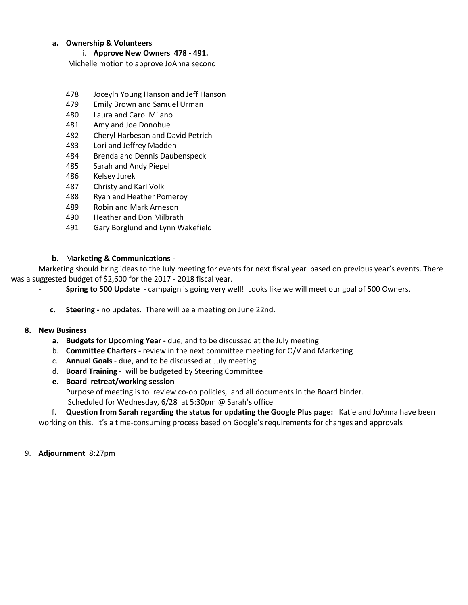## **a. Ownership & Volunteers**

i. **Approve New Owners 478 - 491.** 

Michelle motion to approve JoAnna second

- 478 Joceyln Young Hanson and Jeff Hanson
- 479 Emily Brown and Samuel Urman
- 480 Laura and Carol Milano
- 481 Amy and Joe Donohue
- 482 Cheryl Harbeson and David Petrich
- 483 Lori and Jeffrey Madden
- 484 Brenda and Dennis Daubenspeck
- 485 Sarah and Andy Piepel
- 486 Kelsey Jurek
- 487 Christy and Karl Volk
- 488 Ryan and Heather Pomeroy
- 489 Robin and Mark Arneson
- 490 Heather and Don Milbrath
- 491 Gary Borglund and Lynn Wakefield

## **b.** M**arketing & Communications -**

Marketing should bring ideas to the July meeting for events for next fiscal year based on previous year's events. There was a suggested budget of \$2,600 for the 2017 - 2018 fiscal year.

- **Spring to 500 Update**  campaign is going very well! Looks like we will meet our goal of 500 Owners.
- **c. Steering -** no updates. There will be a meeting on June 22nd.

## **8. New Business**

- **a. Budgets for Upcoming Year -** due, and to be discussed at the July meeting
- b. **Committee Charters -** review in the next committee meeting for O/V and Marketing
- c. **Annual Goals**  due, and to be discussed at July meeting
- d. **Board Training**  will be budgeted by Steering Committee
- **e. Board retreat/working session**

Purpose of meeting is to review co-op policies, and all documents in the Board binder.

Scheduled for Wednesday, 6/28 at 5:30pm @ Sarah's office

 f. **Question from Sarah regarding the status for updating the Google Plus page:** Katie and JoAnna have been working on this. It's a time-consuming process based on Google's requirements for changes and approvals

9. **Adjournment** 8:27pm